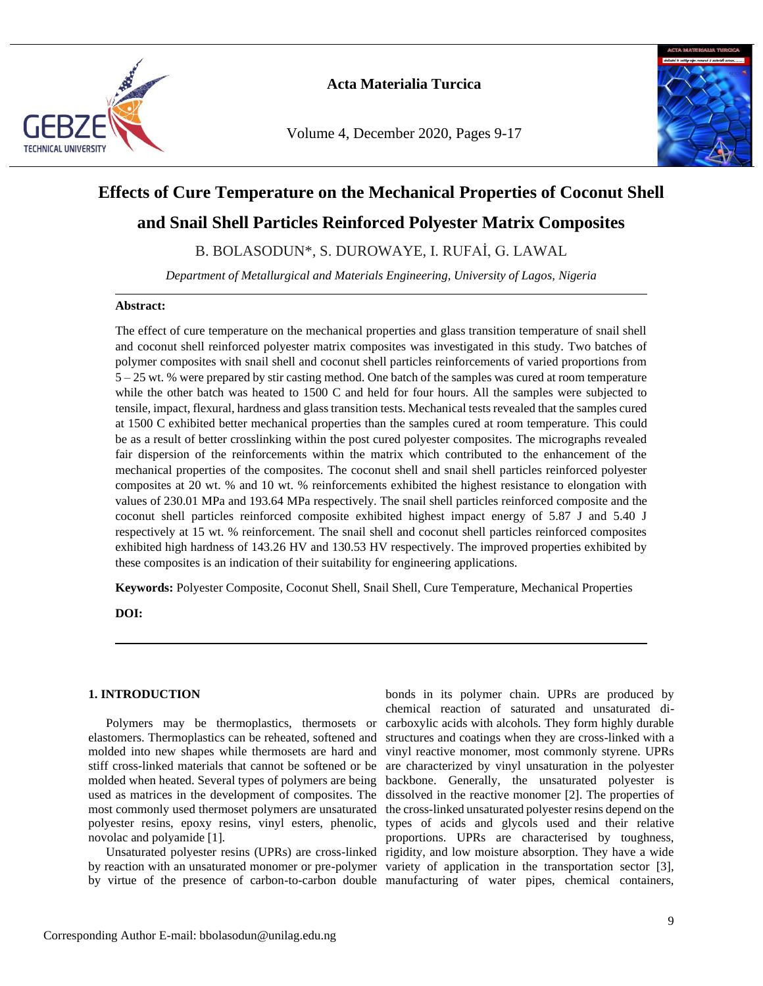

Volume 4, December 2020, Pages 9-17



# **Effects of Cure Temperature on the Mechanical Properties of Coconut Shell**

# **and Snail Shell Particles Reinforced Polyester Matrix Composites**

B. BOLASODUN\*, S. DUROWAYE, I. RUFAİ, G. LAWAL

*Department of Metallurgical and Materials Engineering, University of Lagos, Nigeria*

## **Abstract:**

The effect of cure temperature on the mechanical properties and glass transition temperature of snail shell and coconut shell reinforced polyester matrix composites was investigated in this study. Two batches of polymer composites with snail shell and coconut shell particles reinforcements of varied proportions from 5 – 25 wt. % were prepared by stir casting method. One batch of the samples was cured at room temperature while the other batch was heated to 1500 C and held for four hours. All the samples were subjected to tensile, impact, flexural, hardness and glass transition tests. Mechanical tests revealed that the samples cured at 1500 C exhibited better mechanical properties than the samples cured at room temperature. This could be as a result of better crosslinking within the post cured polyester composites. The micrographs revealed fair dispersion of the reinforcements within the matrix which contributed to the enhancement of the mechanical properties of the composites. The coconut shell and snail shell particles reinforced polyester composites at 20 wt. % and 10 wt. % reinforcements exhibited the highest resistance to elongation with values of 230.01 MPa and 193.64 MPa respectively. The snail shell particles reinforced composite and the coconut shell particles reinforced composite exhibited highest impact energy of 5.87 J and 5.40 J respectively at 15 wt. % reinforcement. The snail shell and coconut shell particles reinforced composites exhibited high hardness of 143.26 HV and 130.53 HV respectively. The improved properties exhibited by these composites is an indication of their suitability for engineering applications.

**Keywords:** Polyester Composite, Coconut Shell, Snail Shell, Cure Temperature, Mechanical Properties

**DOI:**

## **1. INTRODUCTION**

Polymers may be thermoplastics, thermosets or elastomers. Thermoplastics can be reheated, softened and molded into new shapes while thermosets are hard and stiff cross-linked materials that cannot be softened or be molded when heated. Several types of polymers are being used as matrices in the development of composites. The novolac and polyamide [1].

by virtue of the presence of carbon-to-carbon double manufacturing of water pipes, chemical containers,

most commonly used thermoset polymers are unsaturated the cross-linked unsaturated polyester resins depend on the polyester resins, epoxy resins, vinyl esters, phenolic, types of acids and glycols used and their relative Unsaturated polyester resins (UPRs) are cross-linked rigidity, and low moisture absorption. They have a wide by reaction with an unsaturated monomer or pre-polymer variety of application in the transportation sector [3], bonds in its polymer chain. UPRs are produced by chemical reaction of saturated and unsaturated dicarboxylic acids with alcohols. They form highly durable structures and coatings when they are cross-linked with a vinyl reactive monomer, most commonly styrene. UPRs are characterized by vinyl unsaturation in the polyester backbone. Generally, the unsaturated polyester is dissolved in the reactive monomer [2]. The properties of proportions. UPRs are characterised by toughness,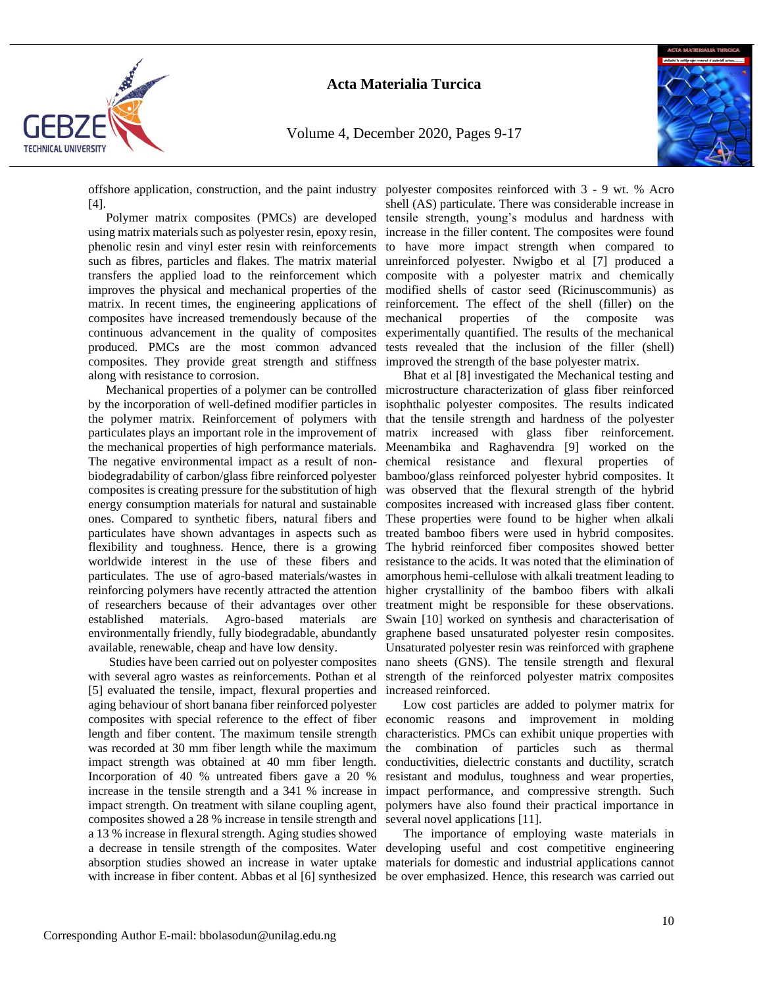

Volume 4, December 2020, Pages 9-17



offshore application, construction, and the paint industry polyester composites reinforced with 3 - 9 wt. % Acro [4].

Polymer matrix composites (PMCs) are developed using matrix materials such as polyester resin, epoxy resin, phenolic resin and vinyl ester resin with reinforcements to have more impact strength when compared to such as fibres, particles and flakes. The matrix material transfers the applied load to the reinforcement which composite with a polyester matrix and chemically improves the physical and mechanical properties of the modified shells of castor seed (Ricinuscommunis) as matrix. In recent times, the engineering applications of reinforcement. The effect of the shell (filler) on the composites have increased tremendously because of the continuous advancement in the quality of composites experimentally quantified. The results of the mechanical produced. PMCs are the most common advanced tests revealed that the inclusion of the filler (shell) composites. They provide great strength and stiffness improved the strength of the base polyester matrix. along with resistance to corrosion.

by the incorporation of well-defined modifier particles in the polymer matrix. Reinforcement of polymers with particulates plays an important role in the improvement of the mechanical properties of high performance materials. The negative environmental impact as a result of nonbiodegradability of carbon/glass fibre reinforced polyester composites is creating pressure for the substitution of high energy consumption materials for natural and sustainable ones. Compared to synthetic fibers, natural fibers and particulates have shown advantages in aspects such as flexibility and toughness. Hence, there is a growing worldwide interest in the use of these fibers and particulates. The use of agro-based materials/wastes in reinforcing polymers have recently attracted the attention of researchers because of their advantages over other established materials. Agro-based materials are environmentally friendly, fully biodegradable, abundantly available, renewable, cheap and have low density.

Studies have been carried out on polyester composites with several agro wastes as reinforcements. Pothan et al [5] evaluated the tensile, impact, flexural properties and aging behaviour of short banana fiber reinforced polyester length and fiber content. The maximum tensile strength was recorded at 30 mm fiber length while the maximum impact strength was obtained at 40 mm fiber length. Incorporation of 40 % untreated fibers gave a 20 % composites showed a 28 % increase in tensile strength and a 13 % increase in flexural strength. Aging studies showed with increase in fiber content. Abbas et al [6] synthesized be over emphasized. Hence, this research was carried out

shell (AS) particulate. There was considerable increase in tensile strength, young's modulus and hardness with increase in the filler content. The composites were found unreinforced polyester. Nwigbo et al [7] produced a properties of the composite was

Mechanical properties of a polymer can be controlled microstructure characterization of glass fiber reinforced Bhat et al [8] investigated the Mechanical testing and isophthalic polyester composites. The results indicated that the tensile strength and hardness of the polyester matrix increased with glass fiber reinforcement. Meenambika and Raghavendra [9] worked on the chemical resistance and flexural properties of bamboo/glass reinforced polyester hybrid composites. It was observed that the flexural strength of the hybrid composites increased with increased glass fiber content. These properties were found to be higher when alkali treated bamboo fibers were used in hybrid composites. The hybrid reinforced fiber composites showed better resistance to the acids. It was noted that the elimination of amorphous hemi-cellulose with alkali treatment leading to higher crystallinity of the bamboo fibers with alkali treatment might be responsible for these observations. Swain [10] worked on synthesis and characterisation of graphene based unsaturated polyester resin composites. Unsaturated polyester resin was reinforced with graphene nano sheets (GNS). The tensile strength and flexural strength of the reinforced polyester matrix composites increased reinforced.

composites with special reference to the effect of fiber economic reasons and improvement in molding increase in the tensile strength and a 341 % increase in impact performance, and compressive strength. Such impact strength. On treatment with silane coupling agent, polymers have also found their practical importance in Low cost particles are added to polymer matrix for characteristics. PMCs can exhibit unique properties with the combination of particles such as thermal conductivities, dielectric constants and ductility, scratch resistant and modulus, toughness and wear properties, several novel applications [11].

a decrease in tensile strength of the composites. Water developing useful and cost competitive engineering absorption studies showed an increase in water uptake materials for domestic and industrial applications cannot The importance of employing waste materials in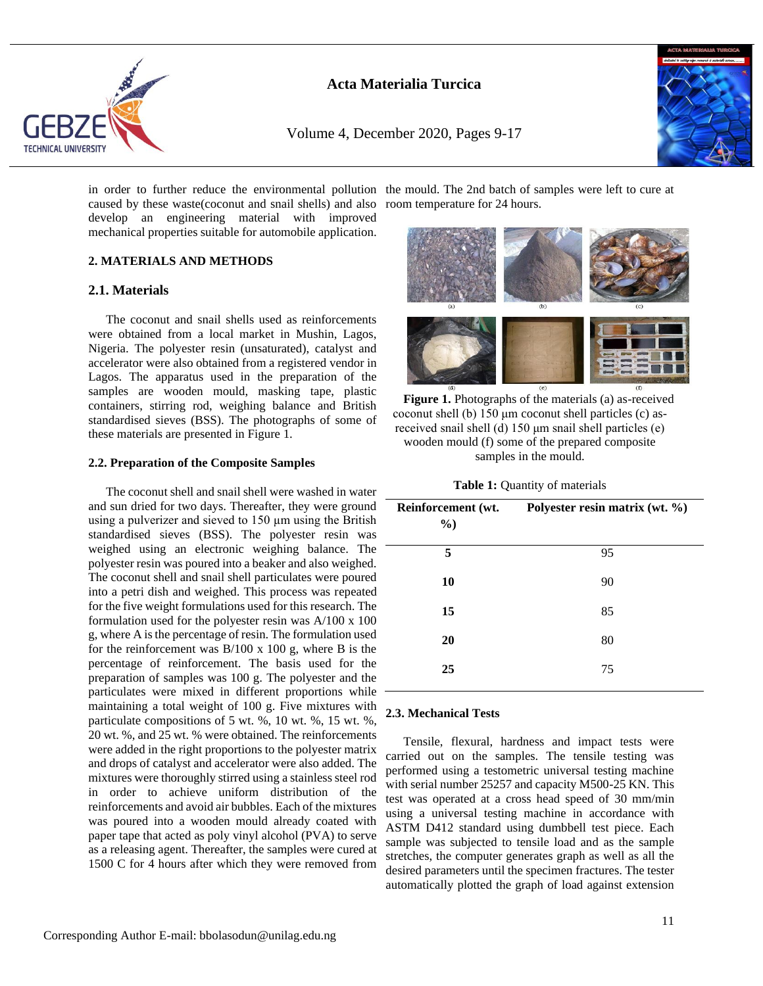

Volume 4, December 2020, Pages 9-17



in order to further reduce the environmental pollution the mould. The 2nd batch of samples were left to cure at caused by these waste(coconut and snail shells) and also room temperature for 24 hours. develop an engineering material with improved mechanical properties suitable for automobile application.

## **2. MATERIALS AND METHODS**

## **2.1. Materials**

The coconut and snail shells used as reinforcements were obtained from a local market in Mushin, Lagos, Nigeria. The polyester resin (unsaturated), catalyst and accelerator were also obtained from a registered vendor in Lagos. The apparatus used in the preparation of the samples are wooden mould, masking tape, plastic containers, stirring rod, weighing balance and British standardised sieves (BSS). The photographs of some of these materials are presented in Figure 1.

## **2.2. Preparation of the Composite Samples**

The coconut shell and snail shell were washed in water and sun dried for two days. Thereafter, they were ground using a pulverizer and sieved to 150 µm using the British standardised sieves (BSS). The polyester resin was weighed using an electronic weighing balance. The polyester resin was poured into a beaker and also weighed. The coconut shell and snail shell particulates were poured into a petri dish and weighed. This process was repeated for the five weight formulations used for this research. The formulation used for the polyester resin was A/100 x 100 g, where A is the percentage of resin. The formulation used for the reinforcement was  $B/100 \times 100$  g, where B is the percentage of reinforcement. The basis used for the preparation of samples was 100 g. The polyester and the particulates were mixed in different proportions while maintaining a total weight of 100 g. Five mixtures with particulate compositions of 5 wt. %, 10 wt. %, 15 wt. %, 20 wt. %, and 25 wt. % were obtained. The reinforcements were added in the right proportions to the polyester matrix and drops of catalyst and accelerator were also added. The mixtures were thoroughly stirred using a stainless steel rod in order to achieve uniform distribution of the reinforcements and avoid air bubbles. Each of the mixtures was poured into a wooden mould already coated with paper tape that acted as poly vinyl alcohol (PVA) to serve as a releasing agent. Thereafter, the samples were cured at 1500 C for 4 hours after which they were removed from



**Figure 1.** Photographs of the materials (a) as-received coconut shell (b) 150 μm coconut shell particles (c) asreceived snail shell (d) 150 μm snail shell particles (e) wooden mould (f) some of the prepared composite samples in the mould.

|  |  | Table 1: Quantity of materials |  |  |
|--|--|--------------------------------|--|--|
|--|--|--------------------------------|--|--|

| Reinforcement (wt.<br>$\%$ | Polyester resin matrix (wt. %) |
|----------------------------|--------------------------------|
| 5                          | 95                             |
| 10                         | 90                             |
| 15                         | 85                             |
| 20                         | 80                             |
| 25                         | 75                             |

## **2.3. Mechanical Tests**

Tensile, flexural, hardness and impact tests were carried out on the samples. The tensile testing was performed using a testometric universal testing machine with serial number 25257 and capacity M500-25 KN. This test was operated at a cross head speed of 30 mm/min using a universal testing machine in accordance with ASTM D412 standard using dumbbell test piece. Each sample was subjected to tensile load and as the sample stretches, the computer generates graph as well as all the desired parameters until the specimen fractures. The tester automatically plotted the graph of load against extension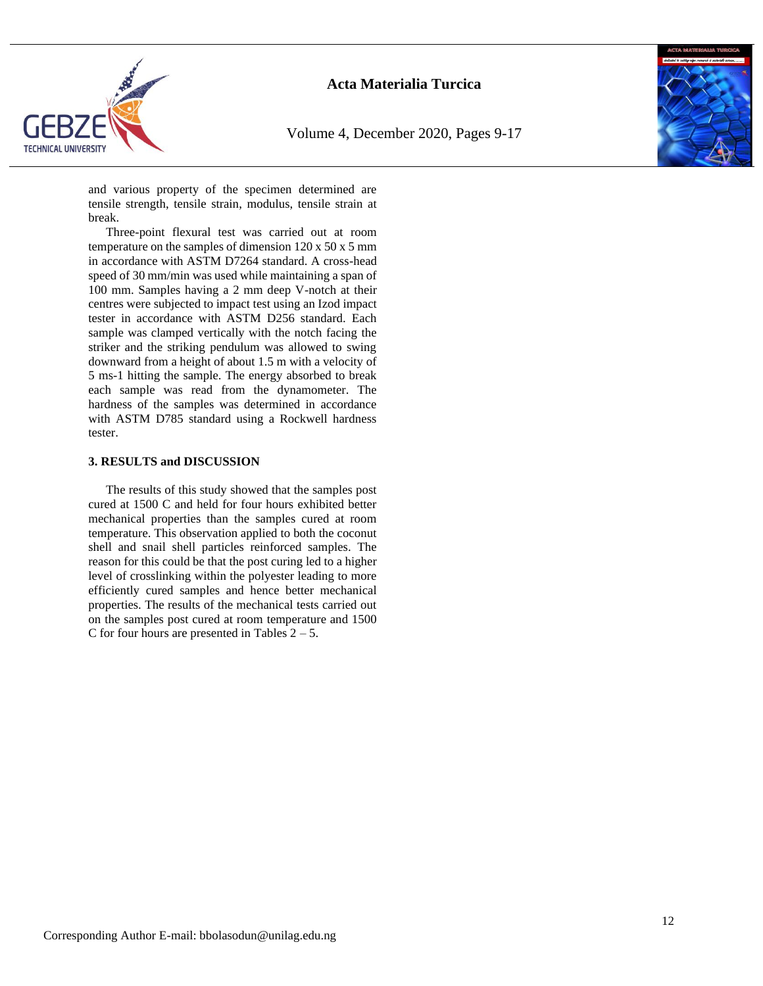

Volume 4, December 2020, Pages 9-17



and various property of the specimen determined are tensile strength, tensile strain, modulus, tensile strain at break.

Three-point flexural test was carried out at room temperature on the samples of dimension 120 x 50 x 5 mm in accordance with ASTM D7264 standard. A cross-head speed of 30 mm/min was used while maintaining a span of 100 mm. Samples having a 2 mm deep V-notch at their centres were subjected to impact test using an Izod impact tester in accordance with ASTM D256 standard. Each sample was clamped vertically with the notch facing the striker and the striking pendulum was allowed to swing downward from a height of about 1.5 m with a velocity of 5 ms-1 hitting the sample. The energy absorbed to break each sample was read from the dynamometer. The hardness of the samples was determined in accordance with ASTM D785 standard using a Rockwell hardness tester.

## **3. RESULTS and DISCUSSION**

The results of this study showed that the samples post cured at 1500 C and held for four hours exhibited better mechanical properties than the samples cured at room temperature. This observation applied to both the coconut shell and snail shell particles reinforced samples. The reason for this could be that the post curing led to a higher level of crosslinking within the polyester leading to more efficiently cured samples and hence better mechanical properties. The results of the mechanical tests carried out on the samples post cured at room temperature and 1500 C for four hours are presented in Tables  $2 - 5$ .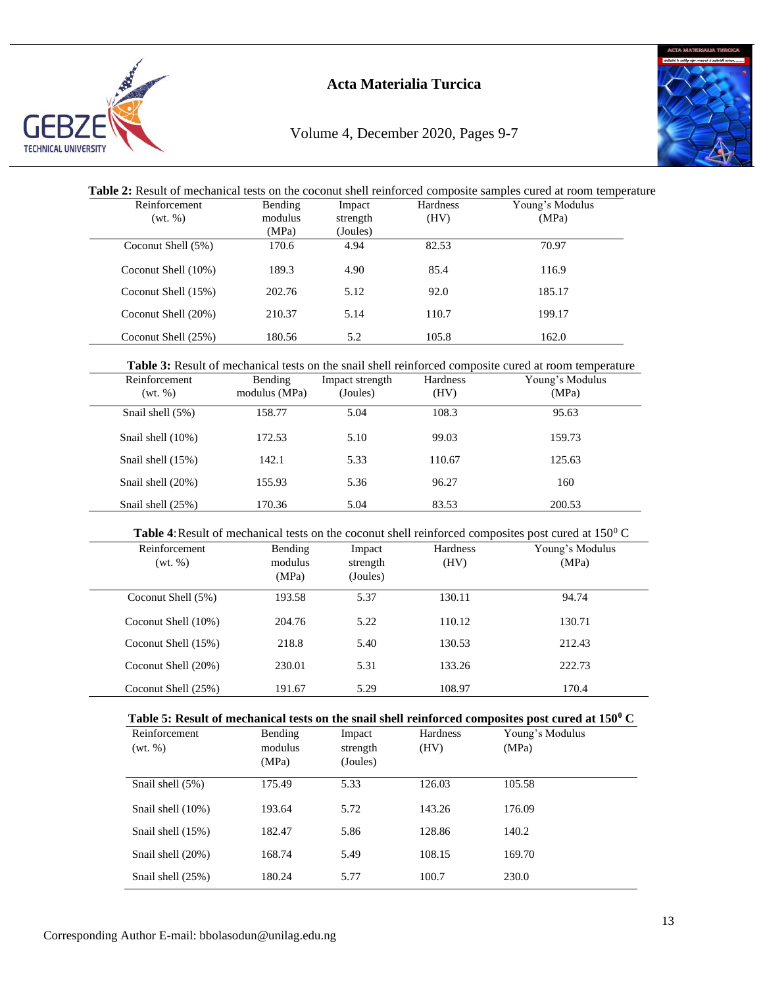

# Volume 4, December 2020, Pages 9-7



| Coconut Shell (5%)<br>Coconut Shell (10%)<br>Coconut Shell (15%)<br>Coconut Shell (20%)<br>Coconut Shell (25%)<br>Reinforcement<br>(wt. %)<br>Snail shell (5%)<br>Snail shell (10%)<br>Snail shell (15%)<br>Snail shell (20%)<br>Snail shell (25%) | 170.6<br>189.3<br>202.76<br>210.37<br>180.56 | 4.94<br>4.90<br>5.12<br>5.14   | 82.53<br>85.4<br>92.0 | 70.97<br>116.9                                                                                                      |
|----------------------------------------------------------------------------------------------------------------------------------------------------------------------------------------------------------------------------------------------------|----------------------------------------------|--------------------------------|-----------------------|---------------------------------------------------------------------------------------------------------------------|
|                                                                                                                                                                                                                                                    |                                              |                                |                       |                                                                                                                     |
|                                                                                                                                                                                                                                                    |                                              |                                |                       |                                                                                                                     |
|                                                                                                                                                                                                                                                    |                                              |                                |                       | 185.17                                                                                                              |
|                                                                                                                                                                                                                                                    |                                              |                                | 110.7                 | 199.17                                                                                                              |
|                                                                                                                                                                                                                                                    |                                              | 5.2                            | 105.8                 | 162.0                                                                                                               |
|                                                                                                                                                                                                                                                    |                                              |                                |                       | Table 3: Result of mechanical tests on the snail shell reinforced composite cured at room temperature               |
|                                                                                                                                                                                                                                                    | Bending<br>modulus (MPa)                     | Impact strength<br>(Joules)    | Hardness<br>(HV)      | Young's Modulus<br>(MPa)                                                                                            |
|                                                                                                                                                                                                                                                    | 158.77                                       | 5.04                           | 108.3                 | 95.63                                                                                                               |
|                                                                                                                                                                                                                                                    | 172.53                                       | 5.10                           | 99.03                 | 159.73                                                                                                              |
|                                                                                                                                                                                                                                                    | 142.1                                        | 5.33                           | 110.67                | 125.63                                                                                                              |
|                                                                                                                                                                                                                                                    | 155.93                                       | 5.36                           | 96.27                 | 160                                                                                                                 |
|                                                                                                                                                                                                                                                    | 170.36                                       | 5.04                           | 83.53                 | 200.53                                                                                                              |
|                                                                                                                                                                                                                                                    |                                              |                                |                       | <b>Table 4:</b> Result of mechanical tests on the coconut shell reinforced composites post cured at $150^{\circ}$ C |
| Reinforcement<br>(wt. %)                                                                                                                                                                                                                           | Bending<br>modulus<br>(MPa)                  | Impact<br>strength<br>(Joules) | Hardness<br>(HV)      | Young's Modulus<br>(MPa)                                                                                            |
| Coconut Shell (5%)                                                                                                                                                                                                                                 | 193.58                                       | 5.37                           | 130.11                | 94.74                                                                                                               |
| Coconut Shell (10%)                                                                                                                                                                                                                                | 204.76                                       | 5.22                           | 110.12                | 130.71                                                                                                              |
| Coconut Shell (15%)                                                                                                                                                                                                                                | 218.8                                        | 5.40                           | 130.53                | 212.43                                                                                                              |
| Coconut Shell (20%)                                                                                                                                                                                                                                | 230.01                                       | 5.31                           | 133.26                | 222.73                                                                                                              |
| Coconut Shell (25%)                                                                                                                                                                                                                                | 191.67                                       | 5.29                           | 108.97                | 170.4                                                                                                               |
|                                                                                                                                                                                                                                                    |                                              |                                |                       | Table 5: Result of mechanical tests on the snail shell reinforced composites post cured at $150^{\circ}$ C          |
| Reinforcement<br>(wt. %)                                                                                                                                                                                                                           | Bending                                      | Impact<br>strength             | Hardness<br>(HV)      | Young's Modulus<br>(MPa)                                                                                            |
| Snail shell (5%)                                                                                                                                                                                                                                   | modulus<br>(MPa)                             | (Joules)                       |                       |                                                                                                                     |

Snail shell (10%) 193.64 5.72 143.26 176.09 Snail shell (15%) 182.47 5.86 128.86 140.2 Snail shell (20%) 168.74 5.49 108.15 169.70 Snail shell (25%) 180.24 5.77 100.7 230.0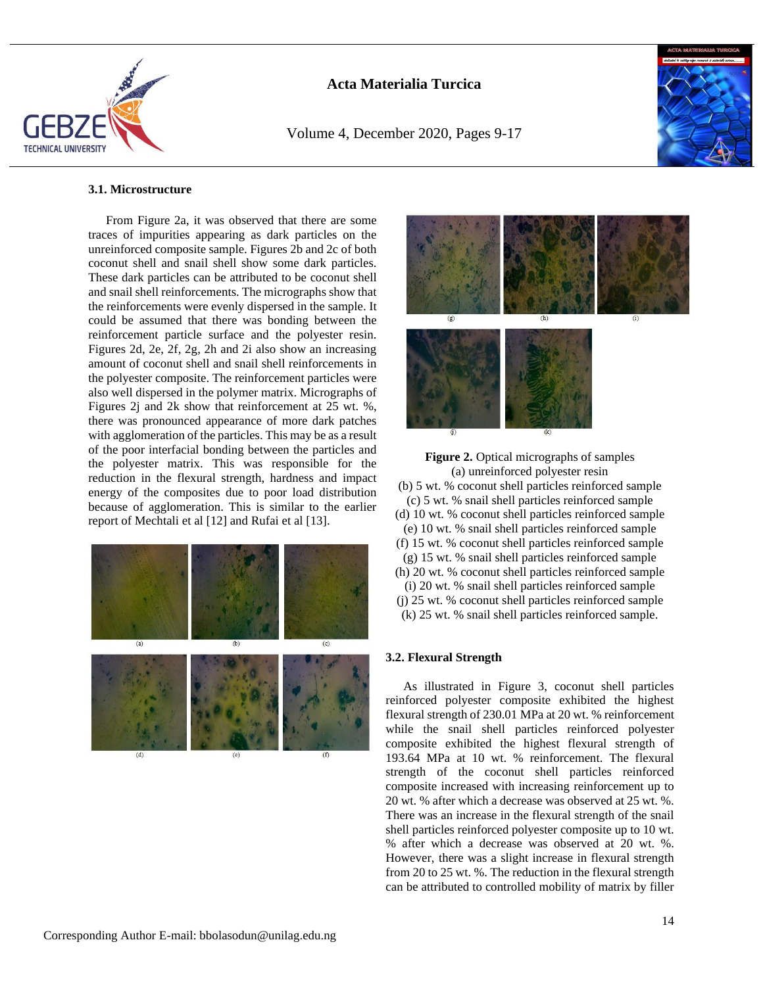

Volume 4, December 2020, Pages 9-17



#### **3.1. Microstructure**

From Figure 2a, it was observed that there are some traces of impurities appearing as dark particles on the unreinforced composite sample. Figures 2b and 2c of both coconut shell and snail shell show some dark particles. These dark particles can be attributed to be coconut shell and snail shell reinforcements. The micrographs show that the reinforcements were evenly dispersed in the sample. It could be assumed that there was bonding between the reinforcement particle surface and the polyester resin. Figures 2d, 2e, 2f, 2g, 2h and 2i also show an increasing amount of coconut shell and snail shell reinforcements in the polyester composite. The reinforcement particles were also well dispersed in the polymer matrix. Micrographs of Figures 2j and 2k show that reinforcement at 25 wt. %, there was pronounced appearance of more dark patches with agglomeration of the particles. This may be as a result of the poor interfacial bonding between the particles and the polyester matrix. This was responsible for the reduction in the flexural strength, hardness and impact energy of the composites due to poor load distribution because of agglomeration. This is similar to the earlier report of Mechtali et al [12] and Rufai et al [13].







### **3.2. Flexural Strength**

As illustrated in Figure 3, coconut shell particles reinforced polyester composite exhibited the highest flexural strength of 230.01 MPa at 20 wt. % reinforcement while the snail shell particles reinforced polyester composite exhibited the highest flexural strength of 193.64 MPa at 10 wt. % reinforcement. The flexural strength of the coconut shell particles reinforced composite increased with increasing reinforcement up to 20 wt. % after which a decrease was observed at 25 wt. %. There was an increase in the flexural strength of the snail shell particles reinforced polyester composite up to 10 wt. % after which a decrease was observed at 20 wt. %. However, there was a slight increase in flexural strength from 20 to 25 wt. %. The reduction in the flexural strength can be attributed to controlled mobility of matrix by filler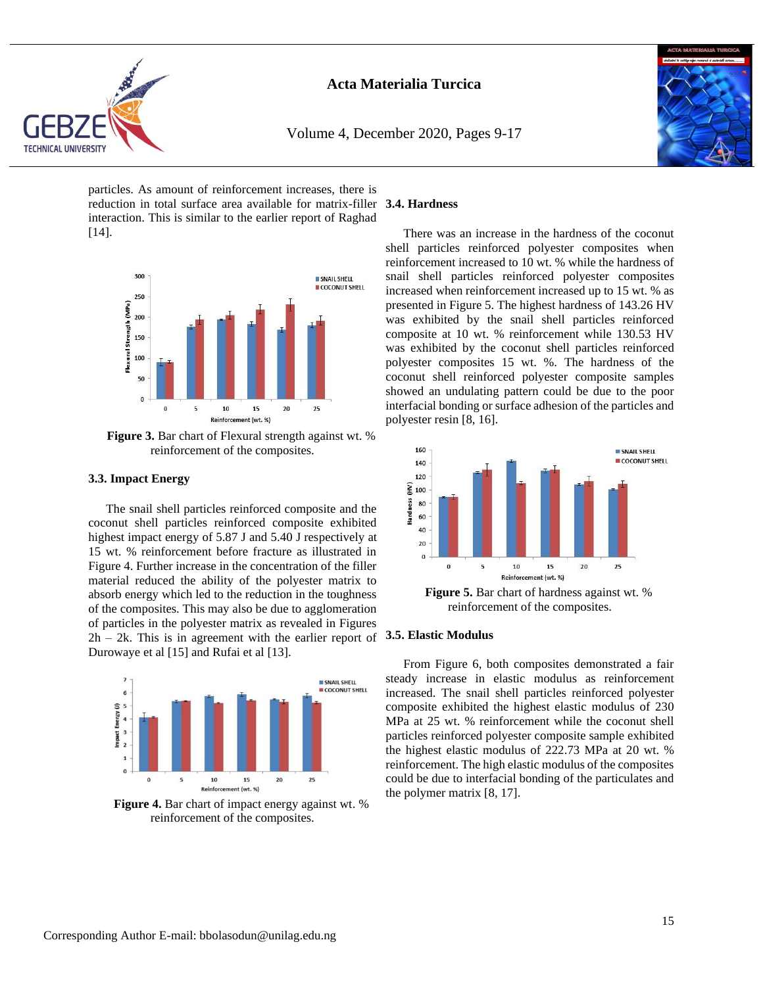

Volume 4, December 2020, Pages 9-17



particles. As amount of reinforcement increases, there is reduction in total surface area available for matrix-filler **3.4. Hardness** interaction. This is similar to the earlier report of Raghad [14].



**Figure 3.** Bar chart of Flexural strength against wt. % reinforcement of the composites.

### **3.3. Impact Energy**

The snail shell particles reinforced composite and the coconut shell particles reinforced composite exhibited highest impact energy of 5.87 J and 5.40 J respectively at 15 wt. % reinforcement before fracture as illustrated in Figure 4. Further increase in the concentration of the filler material reduced the ability of the polyester matrix to absorb energy which led to the reduction in the toughness of the composites. This may also be due to agglomeration of particles in the polyester matrix as revealed in Figures 2h – 2k. This is in agreement with the earlier report of **3.5. Elastic Modulus** Durowaye et al [15] and Rufai et al [13].



**Figure 4.** Bar chart of impact energy against wt. % reinforcement of the composites.

There was an increase in the hardness of the coconut shell particles reinforced polyester composites when reinforcement increased to 10 wt. % while the hardness of snail shell particles reinforced polyester composites increased when reinforcement increased up to 15 wt. % as presented in Figure 5. The highest hardness of 143.26 HV was exhibited by the snail shell particles reinforced composite at 10 wt. % reinforcement while 130.53 HV was exhibited by the coconut shell particles reinforced polyester composites 15 wt. %. The hardness of the coconut shell reinforced polyester composite samples showed an undulating pattern could be due to the poor interfacial bonding or surface adhesion of the particles and polyester resin [8, 16].



From Figure 6, both composites demonstrated a fair steady increase in elastic modulus as reinforcement increased. The snail shell particles reinforced polyester composite exhibited the highest elastic modulus of 230 MPa at 25 wt. % reinforcement while the coconut shell particles reinforced polyester composite sample exhibited the highest elastic modulus of 222.73 MPa at 20 wt. % reinforcement. The high elastic modulus of the composites could be due to interfacial bonding of the particulates and the polymer matrix [8, 17].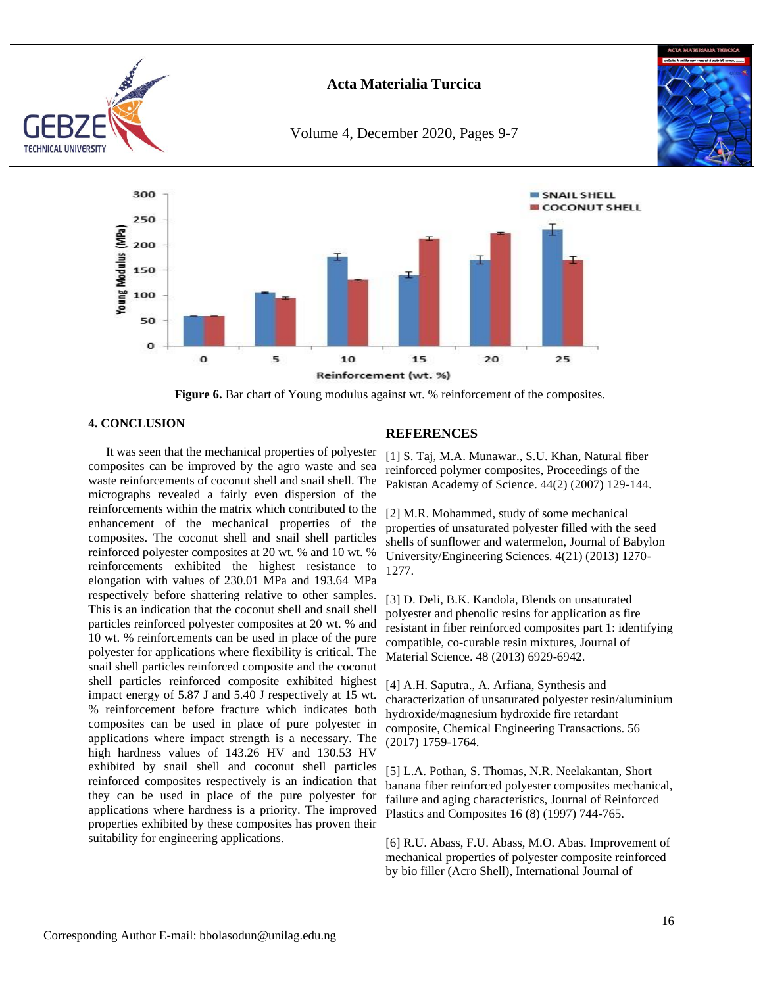

Volume 4, December 2020, Pages 9-7





**Figure 6.** Bar chart of Young modulus against wt. % reinforcement of the composites.

## **4. CONCLUSION**

It was seen that the mechanical properties of polyester composites can be improved by the agro waste and sea waste reinforcements of coconut shell and snail shell. The micrographs revealed a fairly even dispersion of the reinforcements within the matrix which contributed to the enhancement of the mechanical properties of the composites. The coconut shell and snail shell particles reinforced polyester composites at 20 wt. % and 10 wt. % reinforcements exhibited the highest resistance to elongation with values of 230.01 MPa and 193.64 MPa respectively before shattering relative to other samples. This is an indication that the coconut shell and snail shell particles reinforced polyester composites at 20 wt. % and 10 wt. % reinforcements can be used in place of the pure polyester for applications where flexibility is critical. The snail shell particles reinforced composite and the coconut shell particles reinforced composite exhibited highest impact energy of 5.87 J and 5.40 J respectively at 15 wt. % reinforcement before fracture which indicates both composites can be used in place of pure polyester in applications where impact strength is a necessary. The high hardness values of 143.26 HV and 130.53 HV exhibited by snail shell and coconut shell particles reinforced composites respectively is an indication that they can be used in place of the pure polyester for applications where hardness is a priority. The improved properties exhibited by these composites has proven their suitability for engineering applications.

## **REFERENCES**

[1] S. Taj, M.A. Munawar., S.U. Khan, Natural fiber reinforced polymer composites, Proceedings of the Pakistan Academy of Science. 44(2) (2007) 129-144.

[2] M.R. Mohammed, study of some mechanical properties of unsaturated polyester filled with the seed shells of sunflower and watermelon, Journal of Babylon University/Engineering Sciences. 4(21) (2013) 1270- 1277.

[3] D. Deli, B.K. Kandola, Blends on unsaturated polyester and phenolic resins for application as fire resistant in fiber reinforced composites part 1: identifying compatible, co-curable resin mixtures, Journal of Material Science. 48 (2013) 6929-6942.

[4] A.H. Saputra., A. Arfiana, Synthesis and characterization of unsaturated polyester resin/aluminium hydroxide/magnesium hydroxide fire retardant composite, Chemical Engineering Transactions. 56 (2017) 1759-1764.

[5] L.A. Pothan, S. Thomas, N.R. Neelakantan, Short banana fiber reinforced polyester composites mechanical, failure and aging characteristics, Journal of Reinforced Plastics and Composites 16 (8) (1997) 744-765.

[6] R.U. Abass, F.U. Abass, M.O. Abas. Improvement of mechanical properties of polyester composite reinforced by bio filler (Acro Shell), International Journal of